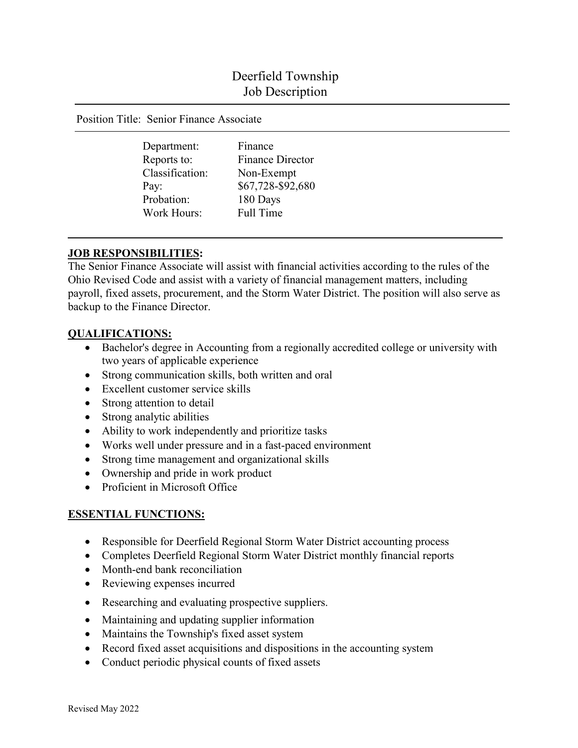# Deerfield Township Job Description

Position Title: Senior Finance Associate

Department: Finance Classification: Non-Exempt Probation: 180 Days Work Hours: Full Time

Reports to: Finance Director Pay: \$67,728-\$92,680

# **JOB RESPONSIBILITIES:**

The Senior Finance Associate will assist with financial activities according to the rules of the Ohio Revised Code and assist with a variety of financial management matters, including payroll, fixed assets, procurement, and the Storm Water District. The position will also serve as backup to the Finance Director.

### **QUALIFICATIONS:**

- Bachelor's degree in Accounting from a regionally accredited college or university with two years of applicable experience
- Strong communication skills, both written and oral
- Excellent customer service skills
- Strong attention to detail
- Strong analytic abilities
- Ability to work independently and prioritize tasks
- Works well under pressure and in a fast-paced environment
- Strong time management and organizational skills
- Ownership and pride in work product
- Proficient in Microsoft Office

# **ESSENTIAL FUNCTIONS:**

- Responsible for Deerfield Regional Storm Water District accounting process
- Completes Deerfield Regional Storm Water District monthly financial reports
- Month-end bank reconciliation
- Reviewing expenses incurred
- Researching and evaluating prospective suppliers.
- Maintaining and updating supplier information
- Maintains the Township's fixed asset system
- Record fixed asset acquisitions and dispositions in the accounting system
- Conduct periodic physical counts of fixed assets